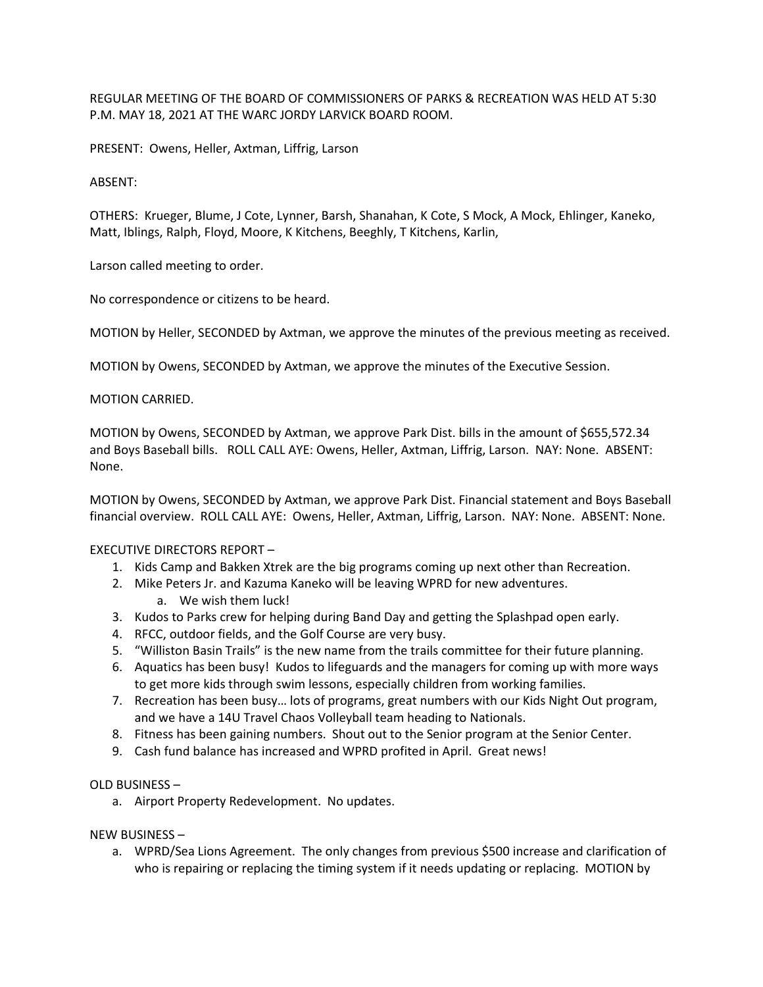REGULAR MEETING OF THE BOARD OF COMMISSIONERS OF PARKS & RECREATION WAS HELD AT 5:30 P.M. MAY 18, 2021 AT THE WARC JORDY LARVICK BOARD ROOM.

PRESENT: Owens, Heller, Axtman, Liffrig, Larson

# ABSENT:

OTHERS: Krueger, Blume, J Cote, Lynner, Barsh, Shanahan, K Cote, S Mock, A Mock, Ehlinger, Kaneko, Matt, Iblings, Ralph, Floyd, Moore, K Kitchens, Beeghly, T Kitchens, Karlin,

Larson called meeting to order.

No correspondence or citizens to be heard.

MOTION by Heller, SECONDED by Axtman, we approve the minutes of the previous meeting as received.

MOTION by Owens, SECONDED by Axtman, we approve the minutes of the Executive Session.

# MOTION CARRIED.

MOTION by Owens, SECONDED by Axtman, we approve Park Dist. bills in the amount of \$655,572.34 and Boys Baseball bills. ROLL CALL AYE: Owens, Heller, Axtman, Liffrig, Larson. NAY: None. ABSENT: None.

MOTION by Owens, SECONDED by Axtman, we approve Park Dist. Financial statement and Boys Baseball financial overview. ROLL CALL AYE: Owens, Heller, Axtman, Liffrig, Larson. NAY: None. ABSENT: None.

### EXECUTIVE DIRECTORS REPORT –

- 1. Kids Camp and Bakken Xtrek are the big programs coming up next other than Recreation.
- 2. Mike Peters Jr. and Kazuma Kaneko will be leaving WPRD for new adventures.
	- a. We wish them luck!
- 3. Kudos to Parks crew for helping during Band Day and getting the Splashpad open early.
- 4. RFCC, outdoor fields, and the Golf Course are very busy.
- 5. "Williston Basin Trails" is the new name from the trails committee for their future planning.
- 6. Aquatics has been busy! Kudos to lifeguards and the managers for coming up with more ways to get more kids through swim lessons, especially children from working families.
- 7. Recreation has been busy… lots of programs, great numbers with our Kids Night Out program, and we have a 14U Travel Chaos Volleyball team heading to Nationals.
- 8. Fitness has been gaining numbers. Shout out to the Senior program at the Senior Center.
- 9. Cash fund balance has increased and WPRD profited in April. Great news!

## OLD BUSINESS –

a. Airport Property Redevelopment. No updates.

### NEW BUSINESS –

a. WPRD/Sea Lions Agreement. The only changes from previous \$500 increase and clarification of who is repairing or replacing the timing system if it needs updating or replacing. MOTION by